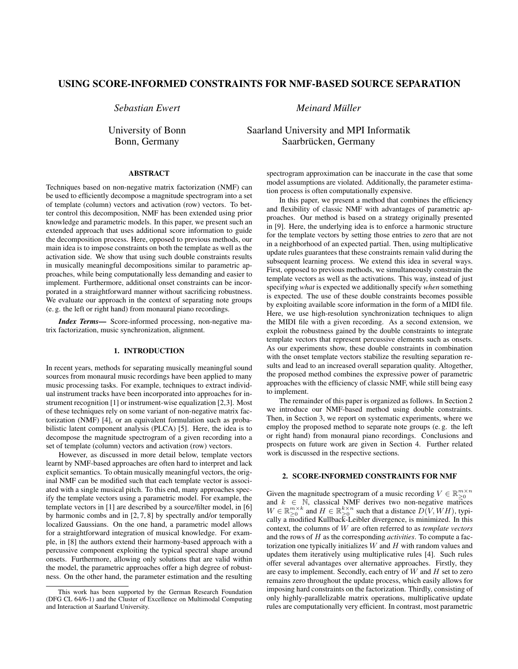# **USING SCORE-INFORMED CONSTRAINTS FOR NMF-BASED SOURCE SEPARATION**

*Sebastian Ewert*

University of Bonn Bonn, Germany

**ABSTRACT**

Techniques based on non-negative matrix factorization (NMF) can be used to efficiently decompose a magnitude spectrogram into a set of template (column) vectors and activation (row) vectors. To better control this decomposition, NMF has been extended using prior knowledge and parametric models. In this paper, we present such an extended approach that uses additional score information to guide the decomposition process. Here, opposed to previous methods, our main idea is to impose constraints on both the template as well as the activation side. We show that using such double constraints results in musically meaningful decompositions similar to parametric approaches, while being computationally less demanding and easier to implement. Furthermore, additional onset constraints can be incorporated in a straightforward manner without sacrificing robustness. We evaluate our approach in the context of separating note groups (e. g. the left or right hand) from monaural piano recordings.

*Index Terms***—** Score-informed processing, non-negative matrix factorization, music synchronization, alignment.

## **1. INTRODUCTION**

In recent years, methods for separating musically meaningful sound sources from monaural music recordings have been applied to many music processing tasks. For example, techniques to extract individual instrument tracks have been incorporated into approaches for instrument recognition [1] or instrument-wise equalization [2,3]. Most of these techniques rely on some variant of non-negative matrix factorization (NMF) [4], or an equivalent formulation such as probabilistic latent component analysis (PLCA) [5]. Here, the idea is to decompose the magnitude spectrogram of a given recording into a set of template (column) vectors and activation (row) vectors.

However, as discussed in more detail below, template vectors learnt by NMF-based approaches are often hard to interpret and lack explicit semantics. To obtain musically meaningful vectors, the original NMF can be modified such that each template vector is associated with a single musical pitch. To this end, many approaches specify the template vectors using a parametric model. For example, the template vectors in [1] are described by a source/filter model, in [6] by harmonic combs and in [2, 7, 8] by spectrally and/or temporally localized Gaussians. On the one hand, a parametric model allows for a straightforward integration of musical knowledge. For example, in [8] the authors extend their harmony-based approach with a percussive component exploiting the typical spectral shape around onsets. Furthermore, allowing only solutions that are valid within the model, the parametric approaches offer a high degree of robustness. On the other hand, the parameter estimation and the resulting *Meinard Muller ¨*

Saarland University and MPI Informatik Saarbrücken, Germany

> spectrogram approximation can be inaccurate in the case that some model assumptions are violated. Additionally, the parameter estimation process is often computationally expensive.

> In this paper, we present a method that combines the efficiency and flexibility of classic NMF with advantages of parametric approaches. Our method is based on a strategy originally presented in [9]. Here, the underlying idea is to enforce a harmonic structure for the template vectors by setting those entries to zero that are not in a neighborhood of an expected partial. Then, using multiplicative update rules guarantees that these constraints remain valid during the subsequent learning process. We extend this idea in several ways. First, opposed to previous methods, we simultaneously constrain the template vectors as well as the activations. This way, instead of just specifying *what* is expected we additionally specify *when* something is expected. The use of these double constraints becomes possible by exploiting available score information in the form of a MIDI file. Here, we use high-resolution synchronization techniques to align the MIDI file with a given recording. As a second extension, we exploit the robustness gained by the double constraints to integrate template vectors that represent percussive elements such as onsets. As our experiments show, these double constraints in combination with the onset template vectors stabilize the resulting separation results and lead to an increased overall separation quality. Altogether, the proposed method combines the expressive power of parametric approaches with the efficiency of classic NMF, while still being easy to implement.

> The remainder of this paper is organized as follows. In Section 2 we introduce our NMF-based method using double constraints. Then, in Section 3, we report on systematic experiments, where we employ the proposed method to separate note groups (e. g. the left or right hand) from monaural piano recordings. Conclusions and prospects on future work are given in Section 4. Further related work is discussed in the respective sections.

## **2. SCORE-INFORMED CONSTRAINTS FOR NMF**

Given the magnitude spectrogram of a music recording  $V \in \mathbb{R}_{\geq 0}^{m \times n}$  $\forall k \in \mathbb{N}$ , classical NMF derives two non-negative matrices  $W \in \mathbb{R}_{\geq 0}^{m \times k}$  and  $H \in \mathbb{R}_{\geq 0}^{k \times n}$  such that a distance  $D(V, WH)$ , typically a modified Kullback-Leibler divergence, is minimized. In this context, the columns of W are often referred to as *template vectors* and the rows of H as the corresponding *activities*. To compute a factorization one typically initializes  $W$  and  $H$  with random values and updates them iteratively using multiplicative rules [4]. Such rules offer several advantages over alternative approaches. Firstly, they are easy to implement. Secondly, each entry of  $W$  and  $H$  set to zero remains zero throughout the update process, which easily allows for imposing hard constraints on the factorization. Thirdly, consisting of only highly-parallelizable matrix operations, multiplicative update rules are computationally very efficient. In contrast, most parametric

This work has been supported by the German Research Foundation (DFG CL 64/6-1) and the Cluster of Excellence on Multimodal Computing and Interaction at Saarland University.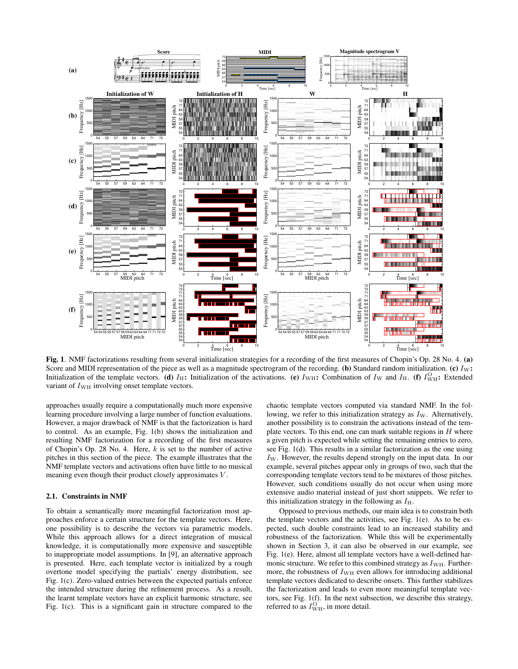

**Fig. 1**. NMF factorizations resulting from several initialization strategies for a recording of the first measures of Chopin's Op. 28 No. 4. **(a)** Score and MIDI representation of the piece as well as a magnitude spectrogram of the recording. **(b)** Standard random initialization. **(c)** IW**:** Initialization of the template vectors. **(d)**  $I_H$ : Initialization of the activations. **(e)**  $I_{WH}$ : Combination of  $I_W$  and  $I_H$ . **(f)**  $I_{WH}^O$ : Extended variant of  $I_{\text{WH}}$  involving onset template vectors.

approaches usually require a computationally much more expensive learning procedure involving a large number of function evaluations. However, a major drawback of NMF is that the factorization is hard to control. As an example, Fig. 1(b) shows the initialization and resulting NMF factorization for a recording of the first measures of Chopin's Op. 28 No. 4. Here,  $k$  is set to the number of active pitches in this section of the piece. The example illustrates that the NMF template vectors and activations often have little to no musical meaning even though their product closely approximates V.

## **2.1. Constraints in NMF**

To obtain a semantically more meaningful factorization most approaches enforce a certain structure for the template vectors. Here, one possibility is to describe the vectors via parametric models. While this approach allows for a direct integration of musical knowledge, it is computationally more expensive and susceptible to inappropriate model assumptions. In [9], an alternative approach is presented. Here, each template vector is initialized by a rough overtone model specifying the partials' energy distribution, see Fig. 1(c). Zero-valued entries between the expected partials enforce the intended structure during the refinement process. As a result, the learnt template vectors have an explicit harmonic structure, see Fig. 1(c). This is a significant gain in structure compared to the chaotic template vectors computed via standard NMF. In the following, we refer to this initialization strategy as  $I_W$ . Alternatively, another possibility is to constrain the activations instead of the template vectors. To this end, one can mark suitable regions in  $H$  where a given pitch is expected while setting the remaining entries to zero, see Fig. 1(d). This results in a similar factorization as the one using  $I_W$ . However, the results depend strongly on the input data. In our example, several pitches appear only in groups of two, such that the corresponding template vectors tend to be mixtures of those pitches. However, such conditions usually do not occur when using more extensive audio material instead of just short snippets. We refer to this initialization strategy in the following as  $I_{\rm H}$ .

Opposed to previous methods, our main idea is to constrain both the template vectors and the activities, see Fig. 1(e). As to be expected, such double constraints lead to an increased stability and robustness of the factorization. While this will be experimentally shown in Section 3, it can also be observed in our example, see Fig. 1(e). Here, almost all template vectors have a well-defined harmonic structure. We refer to this combined strategy as  $I_{\text{WH}}$ . Furthermore, the robustness of  $I_{\text{WH}}$  even allows for introducing additional template vectors dedicated to describe onsets. This further stabilizes the factorization and leads to even more meaningful template vectors, see Fig. 1(f). In the next subsection, we describe this strategy, referred to as  $I_{\text{WH}}^{\text{O}}$ , in more detail.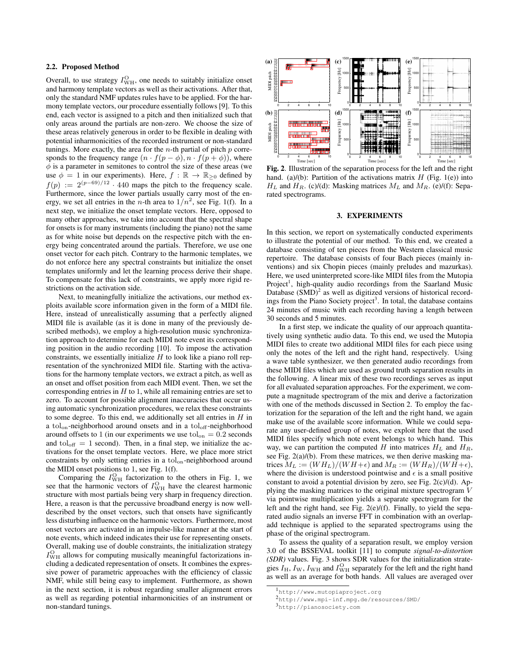## **2.2. Proposed Method**

Overall, to use strategy  $I_{\text{WH}}^{\text{O}}$ , one needs to suitably initialize onset and harmony template vectors as well as their activations. After that, only the standard NMF updates rules have to be applied. For the harmony template vectors, our procedure essentially follows [9]. To this end, each vector is assigned to a pitch and then initialized such that only areas around the partials are non-zero. We choose the size of these areas relatively generous in order to be flexible in dealing with potential inharmonicities of the recorded instrument or non-standard tunings. More exactly, the area for the *n*-th partial of pitch  $p$  corresponds to the frequency range  $(n \cdot f(p - \phi), n \cdot f(p + \phi))$ , where  $\phi$  is a parameter in semitones to control the size of these areas (we use  $\phi = 1$  in our experiments). Here,  $f : \mathbb{R} \to \mathbb{R}_{\geq 0}$  defined by  $f(p) := 2^{(p-69)/12} \cdot 440$  maps the pitch to the frequency scale. Furthermore, since the lower partials usually carry most of the energy, we set all entries in the *n*-th area to  $1/n^2$ , see Fig. 1(f). In a next step, we initialize the onset template vectors. Here, opposed to many other approaches, we take into account that the spectral shape for onsets is for many instruments (including the piano) not the same as for white noise but depends on the respective pitch with the energy being concentrated around the partials. Therefore, we use one onset vector for each pitch. Contrary to the harmonic templates, we do not enforce here any spectral constraints but initialize the onset templates uniformly and let the learning process derive their shape. To compensate for this lack of constraints, we apply more rigid restrictions on the activation side.

Next, to meaningfully initialize the activations, our method exploits available score information given in the form of a MIDI file. Here, instead of unrealistically assuming that a perfectly aligned MIDI file is available (as it is done in many of the previously described methods), we employ a high-resolution music synchronization approach to determine for each MIDI note event its corresponding position in the audio recording [10]. To impose the activation constraints, we essentially initialize  $H$  to look like a piano roll representation of the synchronized MIDI file. Starting with the activations for the harmony template vectors, we extract a pitch, as well as an onset and offset position from each MIDI event. Then, we set the corresponding entries in  $H$  to 1, while all remaining entries are set to zero. To account for possible alignment inaccuracies that occur using automatic synchronization procedures, we relax these constraints to some degree. To this end, we additionally set all entries in  $H$  in a tol<sub>on</sub>-neighborhood around onsets and in a tol<sub>off</sub>-neighborhood around offsets to 1 (in our experiments we use  $tol<sub>on</sub> = 0.2$  seconds and tol<sub>off</sub>  $= 1$  second). Then, in a final step, we initialize the activations for the onset template vectors. Here, we place more strict constraints by only setting entries in a tolon-neighborhood around the MIDI onset positions to 1, see Fig. 1(f).

Comparing the  $I_{\text{WH}}^{\text{O}}$  factorization to the others in Fig. 1, we see that the harmonic vectors of  $I_{\text{WH}}^{\text{O}}$  have the clearest harmonic structure with most partials being very sharp in frequency direction. Here, a reason is that the percussive broadband energy is now welldescribed by the onset vectors, such that onsets have significantly less disturbing influence on the harmonic vectors. Furthermore, most onset vectors are activated in an impulse-like manner at the start of note events, which indeed indicates their use for representing onsets. Overall, making use of double constraints, the initialization strategy  $I_{\text{WH}}^{\text{O}}$  allows for computing musically meaningful factorizations including a dedicated representation of onsets. It combines the expressive power of parametric approaches with the efficiency of classic NMF, while still being easy to implement. Furthermore, as shown in the next section, it is robust regarding smaller alignment errors as well as regarding potential inharmonicities of an instrument or non-standard tunings.



**Fig. 2**. Illustration of the separation process for the left and the right hand. (a)/(b): Partition of the activations matrix  $H$  (Fig. 1(e)) into  $H_L$  and  $H_R$ . (c)/(d): Masking matrices  $M_L$  and  $M_R$ . (e)/(f): Separated spectrograms.

## **3. EXPERIMENTS**

In this section, we report on systematically conducted experiments to illustrate the potential of our method. To this end, we created a database consisting of ten pieces from the Western classical music repertoire. The database consists of four Bach pieces (mainly inventions) and six Chopin pieces (mainly preludes and mazurkas). Here, we used uninterpreted score-like MIDI files from the Mutopia Project<sup>1</sup>, high-quality audio recordings from the Saarland Music Database  $(SMD)^2$  as well as digitized versions of historical recordings from the Piano Society project<sup>3</sup>. In total, the database contains 24 minutes of music with each recording having a length between 30 seconds and 5 minutes.

In a first step, we indicate the quality of our approach quantitatively using synthetic audio data. To this end, we used the Mutopia MIDI files to create two additional MIDI files for each piece using only the notes of the left and the right hand, respectively. Using a wave table synthesizer, we then generated audio recordings from these MIDI files which are used as ground truth separation results in the following. A linear mix of these two recordings serves as input for all evaluated separation approaches. For the experiment, we compute a magnitude spectrogram of the mix and derive a factorization with one of the methods discussed in Section 2. To employ the factorization for the separation of the left and the right hand, we again make use of the available score information. While we could separate any user-defined group of notes, we exploit here that the used MIDI files specify which note event belongs to which hand. This way, we can partition the computed H into matrices  $H_L$  and  $H_R$ , see Fig. 2(a)/(b). From these matrices, we then derive masking matrices  $M_L := (WH_L)/(WH + \epsilon)$  and  $M_R := (WH_R)/(WH + \epsilon)$ , where the division is understood pointwise and  $\epsilon$  is a small positive constant to avoid a potential division by zero, see Fig. 2(c)/(d). Applying the masking matrices to the original mixture spectrogram V via pointwise multiplication yields a separate spectrogram for the left and the right hand, see Fig. 2(e)/(f). Finally, to yield the separated audio signals an inverse FFT in combination with an overlapadd technique is applied to the separated spectrograms using the phase of the original spectrogram.

To assess the quality of a separation result, we employ version 3.0 of the BSSEVAL toolkit [11] to compute *signal-to-distortion (SDR)* values. Fig. 3 shows SDR values for the initialization strategies  $I_H$ ,  $I_W$ ,  $I_{WH}$  and  $I_{WH}^O$  separately for the left and the right hand as well as an average for both hands. All values are averaged over

<sup>1</sup>http://www.mutopiaproject.org

<sup>2</sup>http://www.mpi-inf.mpg.de/resources/SMD/

<sup>3</sup>http://pianosociety.com